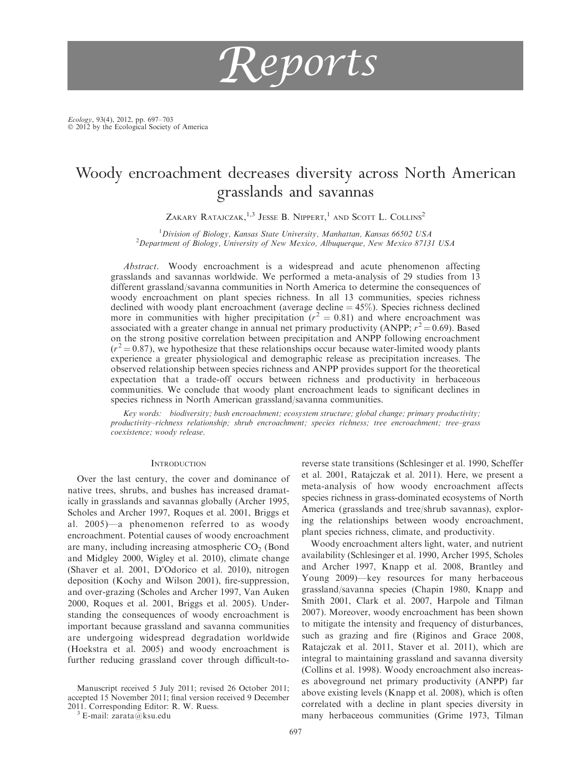

Ecology, 93(4), 2012, pp. 697–703<br>© 2012 by the Ecological Society of America

# Woody encroachment decreases diversity across North American grasslands and savannas

ZAKARY RATAJCZAK,<sup>1,3</sup> JESSE B. NIPPERT,<sup>1</sup> AND SCOTT L. COLLINS<sup>2</sup>

<sup>1</sup> Division of Biology, Kansas State University, Manhattan, Kansas 66502 USA<br><sup>2</sup> Department of Biology, University of New Mexico, Albuquerque, New Mexico 8713  $^{2}$ Department of Biology, University of New Mexico, Albuquerque, New Mexico 87131 USA

Abstract. Woody encroachment is a widespread and acute phenomenon affecting grasslands and savannas worldwide. We performed a meta-analysis of 29 studies from 13 different grassland/savanna communities in North America to determine the consequences of woody encroachment on plant species richness. In all 13 communities, species richness declined with woody plant encroachment (average decline  $= 45\%$ ). Species richness declined more in communities with higher precipitation ( $r^2 = 0.81$ ) and where encroachment was associated with a greater change in annual net primary productivity (ANPP;  $r^2 = 0.69$ ). Based on the strong positive correlation between precipitation and ANPP following encroachment  $(r^2 = 0.87)$ , we hypothesize that these relationships occur because water-limited woody plants experience a greater physiological and demographic release as precipitation increases. The observed relationship between species richness and ANPP provides support for the theoretical expectation that a trade-off occurs between richness and productivity in herbaceous communities. We conclude that woody plant encroachment leads to significant declines in species richness in North American grassland/savanna communities.

Key words: biodiversity; bush encroachment; ecosystem structure; global change; primary productivity; productivity–richness relationship; shrub encroachment; species richness; tree encroachment; tree–grass coexistence; woody release.

### **INTRODUCTION**

Over the last century, the cover and dominance of native trees, shrubs, and bushes has increased dramatically in grasslands and savannas globally (Archer 1995, Scholes and Archer 1997, Roques et al. 2001, Briggs et al. 2005)—a phenomenon referred to as woody encroachment. Potential causes of woody encroachment are many, including increasing atmospheric  $CO<sub>2</sub>$  (Bond and Midgley 2000, Wigley et al. 2010), climate change (Shaver et al. 2001, D'Odorico et al. 2010), nitrogen deposition (Kochy and Wilson 2001), fire-suppression, and over-grazing (Scholes and Archer 1997, Van Auken 2000, Roques et al. 2001, Briggs et al. 2005). Understanding the consequences of woody encroachment is important because grassland and savanna communities are undergoing widespread degradation worldwide (Hoekstra et al. 2005) and woody encroachment is further reducing grassland cover through difficult-to-

Manuscript received 5 July 2011; revised 26 October 2011; accepted 15 November 2011; final version received 9 December 2011. Corresponding Editor: R. W. Ruess.<br> $3 \text{ E-mail:}$  zarata@ksu.edu

reverse state transitions (Schlesinger et al. 1990, Scheffer et al. 2001, Ratajczak et al. 2011). Here, we present a meta-analysis of how woody encroachment affects species richness in grass-dominated ecosystems of North America (grasslands and tree/shrub savannas), exploring the relationships between woody encroachment, plant species richness, climate, and productivity.

Woody encroachment alters light, water, and nutrient availability (Schlesinger et al. 1990, Archer 1995, Scholes and Archer 1997, Knapp et al. 2008, Brantley and Young 2009)—key resources for many herbaceous grassland/savanna species (Chapin 1980, Knapp and Smith 2001, Clark et al. 2007, Harpole and Tilman 2007). Moreover, woody encroachment has been shown to mitigate the intensity and frequency of disturbances, such as grazing and fire (Riginos and Grace 2008, Ratajczak et al. 2011, Staver et al. 2011), which are integral to maintaining grassland and savanna diversity (Collins et al. 1998). Woody encroachment also increases aboveground net primary productivity (ANPP) far above existing levels (Knapp et al. 2008), which is often correlated with a decline in plant species diversity in many herbaceous communities (Grime 1973, Tilman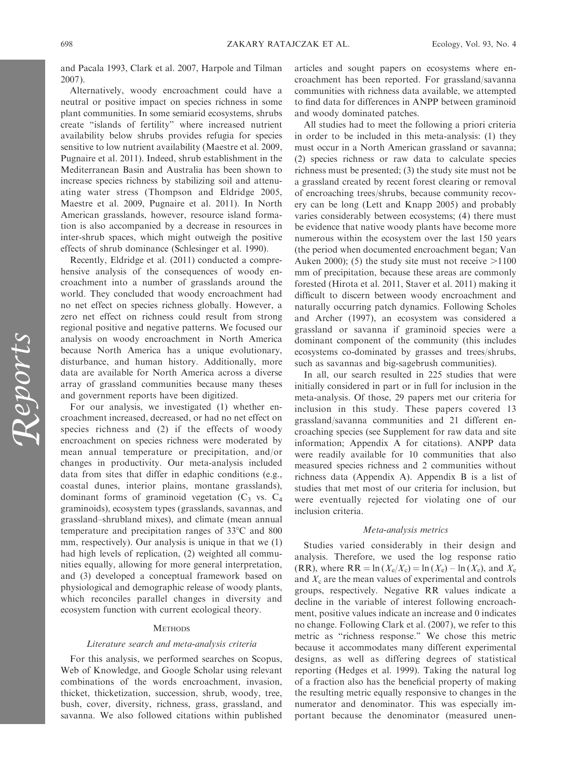and Pacala 1993, Clark et al. 2007, Harpole and Tilman

Alternatively, woody encroachment could have a neutral or positive impact on species richness in some plant communities. In some semiarid ecosystems, shrubs create ''islands of fertility'' where increased nutrient availability below shrubs provides refugia for species sensitive to low nutrient availability (Maestre et al. 2009, Pugnaire et al. 2011). Indeed, shrub establishment in the Mediterranean Basin and Australia has been shown to increase species richness by stabilizing soil and attenuating water stress (Thompson and Eldridge 2005, Maestre et al. 2009, Pugnaire et al. 2011). In North American grasslands, however, resource island formation is also accompanied by a decrease in resources in inter-shrub spaces, which might outweigh the positive effects of shrub dominance (Schlesinger et al. 1990).

Recently, Eldridge et al. (2011) conducted a comprehensive analysis of the consequences of woody encroachment into a number of grasslands around the world. They concluded that woody encroachment had no net effect on species richness globally. However, a zero net effect on richness could result from strong regional positive and negative patterns. We focused our analysis on woody encroachment in North America because North America has a unique evolutionary, disturbance, and human history. Additionally, more data are available for North America across a diverse array of grassland communities because many theses and government reports have been digitized.

For our analysis, we investigated (1) whether encroachment increased, decreased, or had no net effect on species richness and (2) if the effects of woody encroachment on species richness were moderated by mean annual temperature or precipitation, and/or changes in productivity. Our meta-analysis included data from sites that differ in edaphic conditions (e.g., coastal dunes, interior plains, montane grasslands), dominant forms of graminoid vegetation  $(C_3$  vs.  $C_4$ graminoids), ecosystem types (grasslands, savannas, and grassland–shrubland mixes), and climate (mean annual temperature and precipitation ranges of  $33^{\circ}$ C and 800 mm, respectively). Our analysis is unique in that we (1) had high levels of replication, (2) weighted all communities equally, allowing for more general interpretation, and (3) developed a conceptual framework based on physiological and demographic release of woody plants, which reconciles parallel changes in diversity and ecosystem function with current ecological theory.

# **METHODS**

# Literature search and meta-analysis criteria

For this analysis, we performed searches on Scopus, Web of Knowledge, and Google Scholar using relevant combinations of the words encroachment, invasion, thicket, thicketization, succession, shrub, woody, tree, bush, cover, diversity, richness, grass, grassland, and savanna. We also followed citations within published

articles and sought papers on ecosystems where encroachment has been reported. For grassland/savanna communities with richness data available, we attempted to find data for differences in ANPP between graminoid and woody dominated patches.

All studies had to meet the following a priori criteria in order to be included in this meta-analysis: (1) they must occur in a North American grassland or savanna; (2) species richness or raw data to calculate species richness must be presented; (3) the study site must not be a grassland created by recent forest clearing or removal of encroaching trees/shrubs, because community recovery can be long (Lett and Knapp 2005) and probably varies considerably between ecosystems; (4) there must be evidence that native woody plants have become more numerous within the ecosystem over the last 150 years (the period when documented encroachment began; Van Auken 2000); (5) the study site must not receive  $>1100$ mm of precipitation, because these areas are commonly forested (Hirota et al. 2011, Staver et al. 2011) making it difficult to discern between woody encroachment and naturally occurring patch dynamics. Following Scholes and Archer (1997), an ecosystem was considered a grassland or savanna if graminoid species were a dominant component of the community (this includes ecosystems co-dominated by grasses and trees/shrubs, such as savannas and big-sagebrush communities).

In all, our search resulted in 225 studies that were initially considered in part or in full for inclusion in the meta-analysis. Of those, 29 papers met our criteria for inclusion in this study. These papers covered 13 grassland/savanna communities and 21 different encroaching species (see Supplement for raw data and site information; Appendix A for citations). ANPP data were readily available for 10 communities that also measured species richness and 2 communities without richness data (Appendix A). Appendix B is a list of studies that met most of our criteria for inclusion, but were eventually rejected for violating one of our inclusion criteria.

## Meta-analysis metrics

Studies varied considerably in their design and analysis. Therefore, we used the log response ratio (RR), where RR = ln ( $X_e/X_e$ ) = ln ( $X_e$ ) – ln ( $X_e$ ), and  $X_e$ and  $X_c$  are the mean values of experimental and controls groups, respectively. Negative RR values indicate a decline in the variable of interest following encroachment, positive values indicate an increase and 0 indicates no change. Following Clark et al. (2007), we refer to this metric as ''richness response.'' We chose this metric because it accommodates many different experimental designs, as well as differing degrees of statistical reporting (Hedges et al. 1999). Taking the natural log of a fraction also has the beneficial property of making the resulting metric equally responsive to changes in the numerator and denominator. This was especially important because the denominator (measured unen-

2007).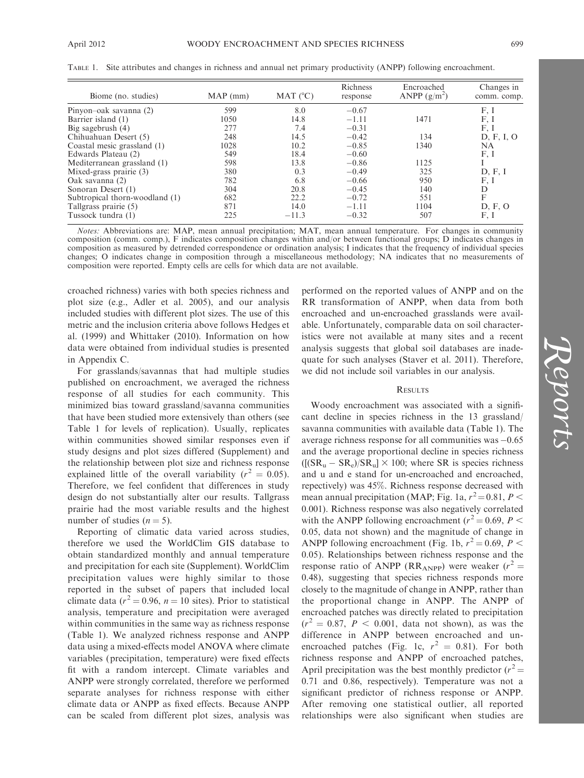| Biome (no. studies)            | MAP (mm) | MAT $(^{\circ}C)$ | Richness<br>response | Encroached<br>ANPP $(g/m^2)$ | Changes in<br>comm. comp. |
|--------------------------------|----------|-------------------|----------------------|------------------------------|---------------------------|
| Pinyon-oak savanna (2)         | 599      | 8.0               | $-0.67$              |                              | F.I                       |
| Barrier island (1)             | 1050     | 14.8              | $-1.11$              | 1471                         | F, I                      |
| Big sagebrush $(4)$            | 277      | 7.4               | $-0.31$              |                              | F.I                       |
| Chihuahuan Desert (5)          | 248      | 14.5              | $-0.42$              | 134                          | D, F, I, O                |
| Coastal mesic grassland (1)    | 1028     | 10.2              | $-0.85$              | 1340                         | NA                        |
| Edwards Plateau (2)            | 549      | 18.4              | $-0.60$              |                              | F, I                      |
| Mediterranean grassland (1)    | 598      | 13.8              | $-0.86$              | 1125                         |                           |
| Mixed-grass prairie (3)        | 380      | 0.3               | $-0.49$              | 325                          | D, F, I                   |
| Oak savanna (2)                | 782      | 6.8               | $-0.66$              | 950                          | F, I                      |
| Sonoran Desert (1)             | 304      | 20.8              | $-0.45$              | 140                          | D                         |
| Subtropical thorn-woodland (1) | 682      | 22.2              | $-0.72$              | 551                          | F                         |
| Tallgrass prairie (5)          | 871      | 14.0              | $-1.11$              | 1104                         | D, F, O                   |
| Tussock tundra (1)             | 225      | $-11.3$           | $-0.32$              | 507                          | F, I                      |

TABLE 1. Site attributes and changes in richness and annual net primary productivity (ANPP) following encroachment.

Notes: Abbreviations are: MAP, mean annual precipitation; MAT, mean annual temperature. For changes in community composition (comm. comp.), F indicates composition changes within and/or between functional groups; D indicates changes in composition as measured by detrended correspondence or ordination analysis; I indicates that the frequency of individual species changes; O indicates change in composition through a miscellaneous methodology; NA indicates that no measurements of composition were reported. Empty cells are cells for which data are not available.

croached richness) varies with both species richness and plot size (e.g., Adler et al. 2005), and our analysis included studies with different plot sizes. The use of this metric and the inclusion criteria above follows Hedges et al. (1999) and Whittaker (2010). Information on how data were obtained from individual studies is presented in Appendix C.

For grasslands/savannas that had multiple studies published on encroachment, we averaged the richness response of all studies for each community. This minimized bias toward grassland/savanna communities that have been studied more extensively than others (see Table 1 for levels of replication). Usually, replicates within communities showed similar responses even if study designs and plot sizes differed (Supplement) and the relationship between plot size and richness response explained little of the overall variability ( $r^2 = 0.05$ ). Therefore, we feel confident that differences in study design do not substantially alter our results. Tallgrass prairie had the most variable results and the highest number of studies  $(n = 5)$ .

Reporting of climatic data varied across studies, therefore we used the WorldClim GIS database to obtain standardized monthly and annual temperature and precipitation for each site (Supplement). WorldClim precipitation values were highly similar to those reported in the subset of papers that included local climate data ( $r^2 = 0.96$ ,  $n = 10$  sites). Prior to statistical analysis, temperature and precipitation were averaged within communities in the same way as richness response (Table 1). We analyzed richness response and ANPP data using a mixed-effects model ANOVA where climate variables (precipitation, temperature) were fixed effects fit with a random intercept. Climate variables and ANPP were strongly correlated, therefore we performed separate analyses for richness response with either climate data or ANPP as fixed effects. Because ANPP can be scaled from different plot sizes, analysis was performed on the reported values of ANPP and on the RR transformation of ANPP, when data from both encroached and un-encroached grasslands were available. Unfortunately, comparable data on soil characteristics were not available at many sites and a recent analysis suggests that global soil databases are inadequate for such analyses (Staver et al. 2011). Therefore, we did not include soil variables in our analysis.

# **RESULTS**

Woody encroachment was associated with a significant decline in species richness in the 13 grassland/ savanna communities with available data (Table 1). The average richness response for all communities was -0.65 and the average proportional decline in species richness  $([S_{\rm R_u} - S_{\rm R_e})/S_{\rm R_u}] \times 100$ ; where SR is species richness and u and e stand for un-encroached and encroached, repectively) was 45%. Richness response decreased with mean annual precipitation (MAP; Fig. 1a,  $r^2 = 0.81$ ,  $P <$ 0.001). Richness response was also negatively correlated with the ANPP following encroachment ( $r^2 = 0.69$ ,  $P <$ 0.05, data not shown) and the magnitude of change in ANPP following encroachment (Fig. 1b,  $r^2 = 0.69$ ,  $P <$ 0.05). Relationships between richness response and the response ratio of ANPP (RR<sub>ANPP</sub>) were weaker ( $r^2$  = 0.48), suggesting that species richness responds more closely to the magnitude of change in ANPP, rather than the proportional change in ANPP. The ANPP of encroached patches was directly related to precipitation  $(r^2 = 0.87, P < 0.001,$  data not shown), as was the difference in ANPP between encroached and unencroached patches (Fig. 1c,  $r^2 = 0.81$ ). For both richness response and ANPP of encroached patches, April precipitation was the best monthly predictor  $(r^2 =$ 0.71 and 0.86, respectively). Temperature was not a significant predictor of richness response or ANPP. After removing one statistical outlier, all reported relationships were also significant when studies are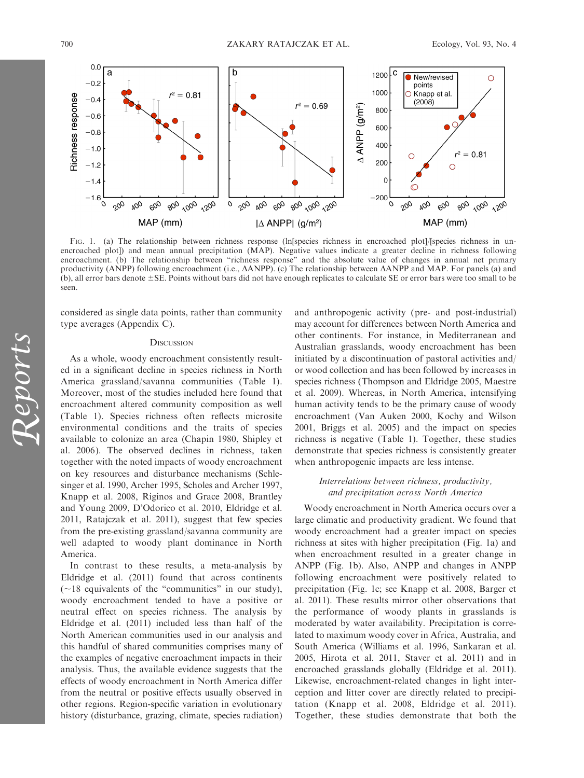

FIG. 1. (a) The relationship between richness response (ln species richness in encroached plot)/species richness in unencroached plot]) and mean annual precipitation (MAP). Negative values indicate a greater decline in richness following encroachment. (b) The relationship between "richness response" and the absolute value of changes in annual net primary productivity (ANPP) following encroachment (i.e.,  $\triangle$ ANPP). (c) The relationship between  $\triangle$ ANPP and MAP. For panels (a) and  $(b)$ , all error bars denote  $\pm$ SE. Points without bars did not have enough replicates to calculate SE or error bars were too small to be seen.

considered as single data points, rather than community type averages (Appendix C).

# **DISCUSSION**

As a whole, woody encroachment consistently resulted in a significant decline in species richness in North America grassland/savanna communities (Table 1). Moreover, most of the studies included here found that encroachment altered community composition as well (Table 1). Species richness often reflects microsite environmental conditions and the traits of species available to colonize an area (Chapin 1980, Shipley et al. 2006). The observed declines in richness, taken together with the noted impacts of woody encroachment on key resources and disturbance mechanisms (Schlesinger et al. 1990, Archer 1995, Scholes and Archer 1997, Knapp et al. 2008, Riginos and Grace 2008, Brantley and Young 2009, D'Odorico et al. 2010, Eldridge et al. 2011, Ratajczak et al. 2011), suggest that few species from the pre-existing grassland/savanna community are well adapted to woody plant dominance in North America.

In contrast to these results, a meta-analysis by Eldridge et al. (2011) found that across continents  $(\sim)18$  equivalents of the "communities" in our study), woody encroachment tended to have a positive or neutral effect on species richness. The analysis by Eldridge et al. (2011) included less than half of the North American communities used in our analysis and this handful of shared communities comprises many of the examples of negative encroachment impacts in their analysis. Thus, the available evidence suggests that the effects of woody encroachment in North America differ from the neutral or positive effects usually observed in other regions. Region-specific variation in evolutionary history (disturbance, grazing, climate, species radiation) and anthropogenic activity (pre- and post-industrial) may account for differences between North America and other continents. For instance, in Mediterranean and Australian grasslands, woody encroachment has been initiated by a discontinuation of pastoral activities and/ or wood collection and has been followed by increases in species richness (Thompson and Eldridge 2005, Maestre et al. 2009). Whereas, in North America, intensifying human activity tends to be the primary cause of woody encroachment (Van Auken 2000, Kochy and Wilson 2001, Briggs et al. 2005) and the impact on species richness is negative (Table 1). Together, these studies demonstrate that species richness is consistently greater when anthropogenic impacts are less intense.

# Interrelations between richness, productivity, and precipitation across North America

Woody encroachment in North America occurs over a large climatic and productivity gradient. We found that woody encroachment had a greater impact on species richness at sites with higher precipitation (Fig. 1a) and when encroachment resulted in a greater change in ANPP (Fig. 1b). Also, ANPP and changes in ANPP following encroachment were positively related to precipitation (Fig. 1c; see Knapp et al. 2008, Barger et al. 2011). These results mirror other observations that the performance of woody plants in grasslands is moderated by water availability. Precipitation is correlated to maximum woody cover in Africa, Australia, and South America (Williams et al. 1996, Sankaran et al. 2005, Hirota et al. 2011, Staver et al. 2011) and in encroached grasslands globally (Eldridge et al. 2011). Likewise, encroachment-related changes in light interception and litter cover are directly related to precipitation (Knapp et al. 2008, Eldridge et al. 2011). Together, these studies demonstrate that both the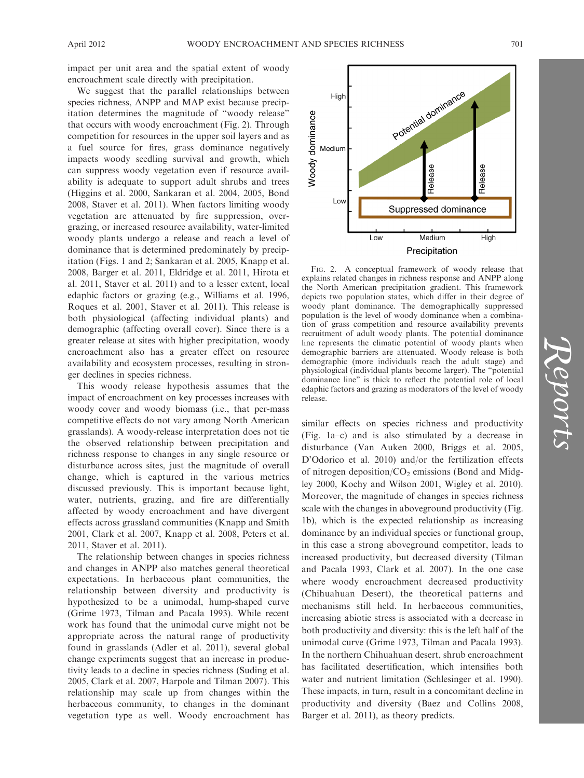impact per unit area and the spatial extent of woody encroachment scale directly with precipitation.

We suggest that the parallel relationships between species richness, ANPP and MAP exist because precipitation determines the magnitude of ''woody release'' that occurs with woody encroachment (Fig. 2). Through competition for resources in the upper soil layers and as a fuel source for fires, grass dominance negatively impacts woody seedling survival and growth, which can suppress woody vegetation even if resource availability is adequate to support adult shrubs and trees (Higgins et al. 2000, Sankaran et al. 2004, 2005, Bond 2008, Staver et al. 2011). When factors limiting woody vegetation are attenuated by fire suppression, overgrazing, or increased resource availability, water-limited woody plants undergo a release and reach a level of dominance that is determined predominately by precipitation (Figs. 1 and 2; Sankaran et al. 2005, Knapp et al. 2008, Barger et al. 2011, Eldridge et al. 2011, Hirota et al. 2011, Staver et al. 2011) and to a lesser extent, local edaphic factors or grazing (e.g., Williams et al. 1996, Roques et al. 2001, Staver et al. 2011). This release is both physiological (affecting individual plants) and demographic (affecting overall cover). Since there is a greater release at sites with higher precipitation, woody encroachment also has a greater effect on resource availability and ecosystem processes, resulting in stronger declines in species richness.

This woody release hypothesis assumes that the impact of encroachment on key processes increases with woody cover and woody biomass (i.e., that per-mass competitive effects do not vary among North American grasslands). A woody-release interpretation does not tie the observed relationship between precipitation and richness response to changes in any single resource or disturbance across sites, just the magnitude of overall change, which is captured in the various metrics discussed previously. This is important because light, water, nutrients, grazing, and fire are differentially affected by woody encroachment and have divergent effects across grassland communities (Knapp and Smith 2001, Clark et al. 2007, Knapp et al. 2008, Peters et al. 2011, Staver et al. 2011).

The relationship between changes in species richness and changes in ANPP also matches general theoretical expectations. In herbaceous plant communities, the relationship between diversity and productivity is hypothesized to be a unimodal, hump-shaped curve (Grime 1973, Tilman and Pacala 1993). While recent work has found that the unimodal curve might not be appropriate across the natural range of productivity found in grasslands (Adler et al. 2011), several global change experiments suggest that an increase in productivity leads to a decline in species richness (Suding et al. 2005, Clark et al. 2007, Harpole and Tilman 2007). This relationship may scale up from changes within the herbaceous community, to changes in the dominant vegetation type as well. Woody encroachment has



FIG. 2. A conceptual framework of woody release that explains related changes in richness response and ANPP along the North American precipitation gradient. This framework depicts two population states, which differ in their degree of woody plant dominance. The demographically suppressed population is the level of woody dominance when a combination of grass competition and resource availability prevents recruitment of adult woody plants. The potential dominance line represents the climatic potential of woody plants when demographic barriers are attenuated. Woody release is both demographic (more individuals reach the adult stage) and physiological (individual plants become larger). The ''potential dominance line'' is thick to reflect the potential role of local edaphic factors and grazing as moderators of the level of woody release.

similar effects on species richness and productivity (Fig. 1a–c) and is also stimulated by a decrease in disturbance (Van Auken 2000, Briggs et al. 2005, D'Odorico et al. 2010) and/or the fertilization effects of nitrogen deposition/ $CO<sub>2</sub>$  emissions (Bond and Midgley 2000, Kochy and Wilson 2001, Wigley et al. 2010). Moreover, the magnitude of changes in species richness scale with the changes in aboveground productivity (Fig. 1b), which is the expected relationship as increasing dominance by an individual species or functional group, in this case a strong aboveground competitor, leads to increased productivity, but decreased diversity (Tilman and Pacala 1993, Clark et al. 2007). In the one case where woody encroachment decreased productivity (Chihuahuan Desert), the theoretical patterns and mechanisms still held. In herbaceous communities, increasing abiotic stress is associated with a decrease in both productivity and diversity: this is the left half of the unimodal curve (Grime 1973, Tilman and Pacala 1993). In the northern Chihuahuan desert, shrub encroachment has facilitated desertification, which intensifies both water and nutrient limitation (Schlesinger et al. 1990). These impacts, in turn, result in a concomitant decline in productivity and diversity (Baez and Collins 2008, Barger et al. 2011), as theory predicts.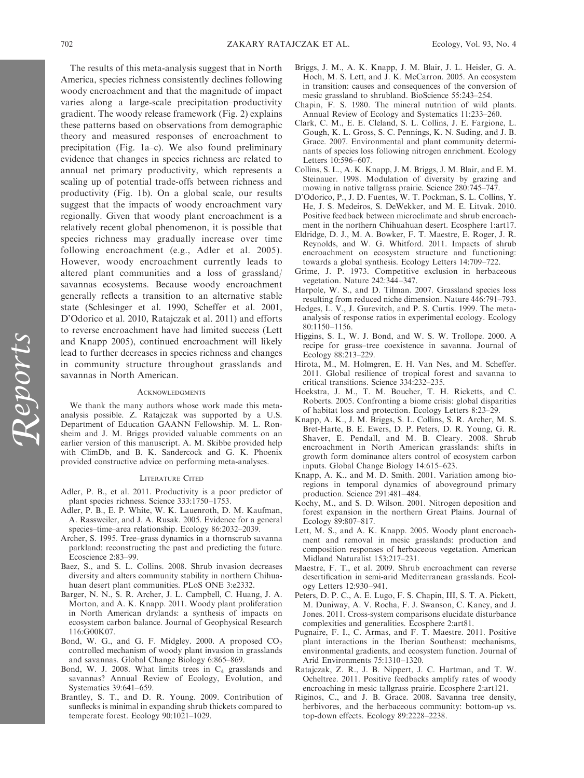The results of this meta-analysis suggest that in North America, species richness consistently declines following woody encroachment and that the magnitude of impact varies along a large-scale precipitation–productivity gradient. The woody release framework (Fig. 2) explains these patterns based on observations from demographic theory and measured responses of encroachment to precipitation (Fig. 1a–c). We also found preliminary evidence that changes in species richness are related to annual net primary productivity, which represents a scaling up of potential trade-offs between richness and productivity (Fig. 1b). On a global scale, our results suggest that the impacts of woody encroachment vary regionally. Given that woody plant encroachment is a relatively recent global phenomenon, it is possible that species richness may gradually increase over time following encroachment (e.g., Adler et al. 2005). However, woody encroachment currently leads to altered plant communities and a loss of grassland/ savannas ecosystems. Because woody encroachment generally reflects a transition to an alternative stable state (Schlesinger et al. 1990, Scheffer et al. 2001, D'Odorico et al. 2010, Ratajczak et al. 2011) and efforts to reverse encroachment have had limited success (Lett and Knapp 2005), continued encroachment will likely lead to further decreases in species richness and changes in community structure throughout grasslands and savannas in North American.

#### **ACKNOWLEDGMENTS**

We thank the many authors whose work made this metaanalysis possible. Z. Ratajczak was supported by a U.S. Department of Education GAANN Fellowship. M. L. Ronsheim and J. M. Briggs provided valuable comments on an earlier version of this manuscript. A. M. Skibbe provided help with ClimDb, and B. K. Sandercock and G. K. Phoenix provided constructive advice on performing meta-analyses.

#### LITERATURE CITED

- Adler, P. B., et al. 2011. Productivity is a poor predictor of plant species richness. Science 333:1750–1753.
- Adler, P. B., E. P. White, W. K. Lauenroth, D. M. Kaufman, A. Rassweiler, and J. A. Rusak. 2005. Evidence for a general species–time–area relationship. Ecology 86:2032–2039.
- Archer, S. 1995. Tree–grass dynamics in a thornscrub savanna parkland: reconstructing the past and predicting the future. Ecoscience 2:83–99.
- Baez, S., and S. L. Collins. 2008. Shrub invasion decreases diversity and alters community stability in northern Chihuahuan desert plant communities. PLoS ONE 3:e2332.
- Barger, N. N., S. R. Archer, J. L. Campbell, C. Huang, J. A. Morton, and A. K. Knapp. 2011. Woody plant proliferation in North American drylands: a synthesis of impacts on ecosystem carbon balance. Journal of Geophysical Research 116:G00K07.
- Bond, W. G., and G. F. Midgley. 2000. A proposed  $CO<sub>2</sub>$ controlled mechanism of woody plant invasion in grasslands and savannas. Global Change Biology 6:865–869.
- Bond, W. J. 2008. What limits trees in  $C_4$  grasslands and savannas? Annual Review of Ecology, Evolution, and Systematics 39:641–659.
- Brantley, S. T., and D. R. Young. 2009. Contribution of sunflecks is minimal in expanding shrub thickets compared to temperate forest. Ecology 90:1021–1029.
- Briggs, J. M., A. K. Knapp, J. M. Blair, J. L. Heisler, G. A. Hoch, M. S. Lett, and J. K. McCarron. 2005. An ecosystem in transition: causes and consequences of the conversion of mesic grassland to shrubland. BioScience 55:243–254.
- Chapin, F. S. 1980. The mineral nutrition of wild plants. Annual Review of Ecology and Systematics 11:233–260.
- Clark, C. M., E. E. Cleland, S. L. Collins, J. E. Fargione, L. Gough, K. L. Gross, S. C. Pennings, K. N. Suding, and J. B. Grace. 2007. Environmental and plant community determinants of species loss following nitrogen enrichment. Ecology Letters 10:596–607.
- Collins, S. L., A. K. Knapp, J. M. Briggs, J. M. Blair, and E. M. Steinauer. 1998. Modulation of diversity by grazing and mowing in native tallgrass prairie. Science 280:745–747.
- D'Odorico, P., J. D. Fuentes, W. T. Pockman, S. L. Collins, Y. He, J. S. Medeiros, S. DeWekker, and M. E. Litvak. 2010. Positive feedback between microclimate and shrub encroachment in the northern Chihuahuan desert. Ecosphere 1:art17.
- Eldridge, D. J., M. A. Bowker, F. T. Maestre, E. Roger, J. R. Reynolds, and W. G. Whitford. 2011. Impacts of shrub encroachment on ecosystem structure and functioning: towards a global synthesis. Ecology Letters 14:709–722.
- Grime, J. P. 1973. Competitive exclusion in herbaceous vegetation. Nature 242:344–347.
- Harpole, W. S., and D. Tilman. 2007. Grassland species loss resulting from reduced niche dimension. Nature 446:791–793.
- Hedges, L. V., J. Gurevitch, and P. S. Curtis. 1999. The metaanalysis of response ratios in experimental ecology. Ecology 80:1150–1156.
- Higgins, S. I., W. J. Bond, and W. S. W. Trollope. 2000. A recipe for grass–tree coexistence in savanna. Journal of Ecology 88:213–229.
- Hirota, M., M. Holmgren, E. H. Van Nes, and M. Scheffer. 2011. Global resilience of tropical forest and savanna to critical transitions. Science 334:232–235.
- Hoekstra, J. M., T. M. Boucher, T. H. Ricketts, and C. Roberts. 2005. Confronting a biome crisis: global disparities of habitat loss and protection. Ecology Letters 8:23–29.
- Knapp, A. K., J. M. Briggs, S. L. Collins, S. R. Archer, M. S. Bret-Harte, B. E. Ewers, D. P. Peters, D. R. Young, G. R. Shaver, E. Pendall, and M. B. Cleary. 2008. Shrub encroachment in North American grasslands: shifts in growth form dominance alters control of ecosystem carbon inputs. Global Change Biology 14:615–623.
- Knapp, A. K., and M. D. Smith. 2001. Variation among bioregions in temporal dynamics of aboveground primary production. Science 291:481–484.
- Kochy, M., and S. D. Wilson. 2001. Nitrogen deposition and forest expansion in the northern Great Plains. Journal of Ecology 89:807–817.
- Lett, M. S., and A. K. Knapp. 2005. Woody plant encroachment and removal in mesic grasslands: production and composition responses of herbaceous vegetation. American Midland Naturalist 153:217–231.
- Maestre, F. T., et al. 2009. Shrub encroachment can reverse desertification in semi-arid Mediterranean grasslands. Ecology Letters 12:930–941.
- Peters, D. P. C., A. E. Lugo, F. S. Chapin, III, S. T. A. Pickett, M. Duniway, A. V. Rocha, F. J. Swanson, C. Kaney, and J. Jones. 2011. Cross-system comparisons elucidate disturbance complexities and generalities. Ecosphere 2:art81.
- Pugnaire, F. I., C. Armas, and F. T. Maestre. 2011. Positive plant interactions in the Iberian Southeast: mechanisms, environmental gradients, and ecosystem function. Journal of Arid Environments 75:1310–1320.
- Ratajczak, Z. R., J. B. Nippert, J. C. Hartman, and T. W. Ocheltree. 2011. Positive feedbacks amplify rates of woody encroaching in mesic tallgrass prairie. Ecosphere 2:art121.
- Riginos, C., and J. B. Grace. 2008. Savanna tree density, herbivores, and the herbaceous community: bottom-up vs. top-down effects. Ecology 89:2228–2238.